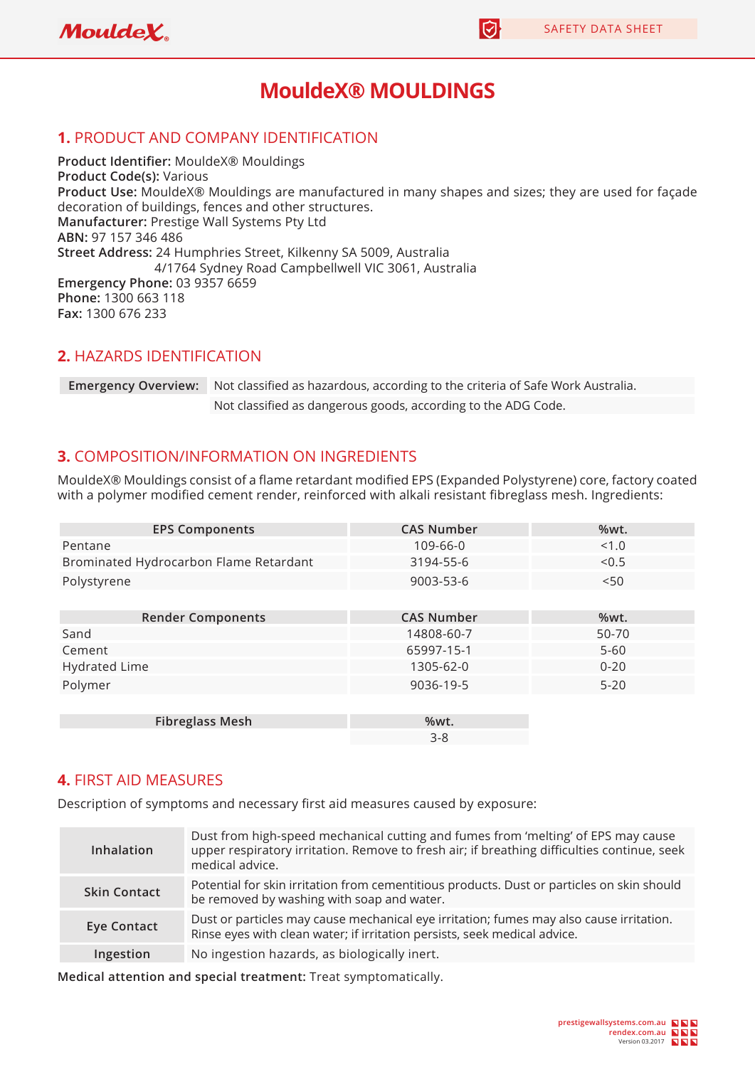|| [5]



# **MouldeX® MOULDINGS**

#### **1.** PRODUCT AND COMPANY IDENTIFICATION

**Product Identifier: MouldeX® Mouldings Product Code(s):** Various **Product Use:** MouldeX® Mouldings are manufactured in many shapes and sizes; they are used for façade decoration of buildings, fences and other structures. **Manufacturer:** Prestige Wall Systems Pty Ltd **ABN:** 97 157 346 486 **Street Address:** 24 Humphries Street, Kilkenny SA 5009, Australia 4/1764 Sydney Road Campbellwell VIC 3061, Australia **Emergency Phone:** 03 9357 6659 **Phone:** 1300 663 118 **Fax:** 1300 676 233

#### **2.** HAZARDS IDENTIFICATION

**Emergency Overview:** Not classified as hazardous, according to the criteria of Safe Work Australia. Not classified as dangerous goods, according to the ADG Code.

#### **3.** COMPOSITION/INFORMATION ON INGREDIENTS

MouldeX® Mouldings consist of a flame retardant modified EPS (Expanded Polystyrene) core, factory coated with a polymer modified cement render, reinforced with alkali resistant fibreglass mesh. Ingredients:

| <b>EPS Components</b>                  | <b>CAS Number</b> | %wt.     |
|----------------------------------------|-------------------|----------|
| Pentane                                | 109-66-0          | < 1.0    |
| Brominated Hydrocarbon Flame Retardant | 3194-55-6         | < 0.5    |
| Polystyrene                            | 9003-53-6         | $<$ 50   |
|                                        |                   |          |
| <b>Render Components</b>               | <b>CAS Number</b> | %wt.     |
| Sand                                   | 14808-60-7        | 50-70    |
| Cement                                 | 65997-15-1        | $5 - 60$ |
| <b>Hydrated Lime</b>                   | 1305-62-0         | $0 - 20$ |
| Polymer                                | 9036-19-5         | $5 - 20$ |
|                                        |                   |          |
| <b>Fibreglass Mesh</b>                 | %wt.              |          |
|                                        | $3 - 8$           |          |

#### **4.** FIRST AID MEASURES

Description of symptoms and necessary first aid measures caused by exposure:

| Inhalation          | Dust from high-speed mechanical cutting and fumes from 'melting' of EPS may cause<br>upper respiratory irritation. Remove to fresh air; if breathing difficulties continue, seek<br>medical advice. |
|---------------------|-----------------------------------------------------------------------------------------------------------------------------------------------------------------------------------------------------|
| <b>Skin Contact</b> | Potential for skin irritation from cementitious products. Dust or particles on skin should<br>be removed by washing with soap and water.                                                            |
| <b>Eye Contact</b>  | Dust or particles may cause mechanical eye irritation; fumes may also cause irritation.<br>Rinse eyes with clean water; if irritation persists, seek medical advice.                                |
| Ingestion           | No ingestion hazards, as biologically inert.                                                                                                                                                        |

**Medical attention and special treatment:** Treat symptomatically.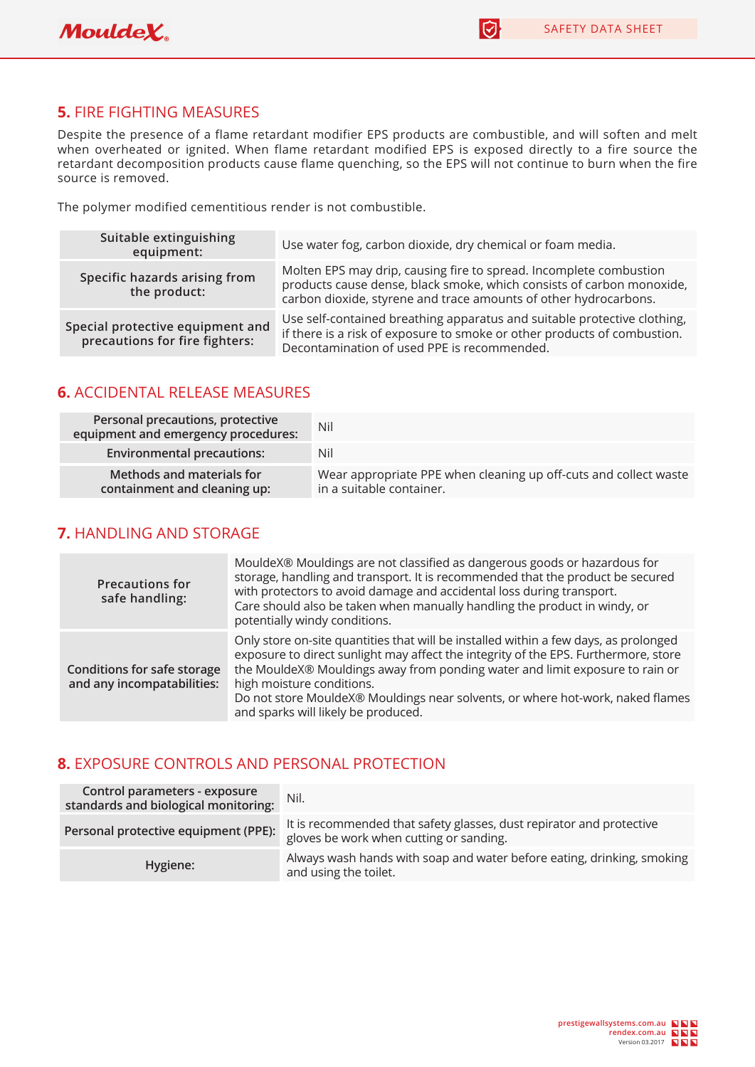

 $\overline{\bm{\odot}}$ 

## **5.** FIRE FIGHTING MEASURES

Despite the presence of a flame retardant modifier EPS products are combustible, and will soften and melt when overheated or ignited. When flame retardant modified EPS is exposed directly to a fire source the retardant decomposition products cause flame quenching, so the EPS will not continue to burn when the fire source is removed.

The polymer modified cementitious render is not combustible.

| Suitable extinguishing<br>equipment:                               | Use water fog, carbon dioxide, dry chemical or foam media.                                                                                                                                                      |
|--------------------------------------------------------------------|-----------------------------------------------------------------------------------------------------------------------------------------------------------------------------------------------------------------|
| Specific hazards arising from<br>the product:                      | Molten EPS may drip, causing fire to spread. Incomplete combustion<br>products cause dense, black smoke, which consists of carbon monoxide,<br>carbon dioxide, styrene and trace amounts of other hydrocarbons. |
| Special protective equipment and<br>precautions for fire fighters: | Use self-contained breathing apparatus and suitable protective clothing,<br>if there is a risk of exposure to smoke or other products of combustion.<br>Decontamination of used PPE is recommended.             |

## **6.** ACCIDENTAL RELEASE MEASURES

| Personal precautions, protective<br>equipment and emergency procedures: | Nil                                                                                          |
|-------------------------------------------------------------------------|----------------------------------------------------------------------------------------------|
| <b>Environmental precautions:</b>                                       | Nil                                                                                          |
| Methods and materials for<br>containment and cleaning up:               | Wear appropriate PPE when cleaning up off-cuts and collect waste<br>in a suitable container. |

#### **7.** HANDLING AND STORAGE

| <b>Precautions for</b><br>safe handling:                         | MouldeX® Mouldings are not classified as dangerous goods or hazardous for<br>storage, handling and transport. It is recommended that the product be secured<br>with protectors to avoid damage and accidental loss during transport.<br>Care should also be taken when manually handling the product in windy, or<br>potentially windy conditions.                                                                |
|------------------------------------------------------------------|-------------------------------------------------------------------------------------------------------------------------------------------------------------------------------------------------------------------------------------------------------------------------------------------------------------------------------------------------------------------------------------------------------------------|
| <b>Conditions for safe storage</b><br>and any incompatabilities: | Only store on-site quantities that will be installed within a few days, as prolonged<br>exposure to direct sunlight may affect the integrity of the EPS. Furthermore, store<br>the MouldeX® Mouldings away from ponding water and limit exposure to rain or<br>high moisture conditions.<br>Do not store MouldeX® Mouldings near solvents, or where hot-work, naked flames<br>and sparks will likely be produced. |

#### **8.** EXPOSURE CONTROLS AND PERSONAL PROTECTION

| Control parameters - exposure<br>standards and biological monitoring: | Nil.                                                                                                            |
|-----------------------------------------------------------------------|-----------------------------------------------------------------------------------------------------------------|
| Personal protective equipment (PPE):                                  | It is recommended that safety glasses, dust repirator and protective<br>gloves be work when cutting or sanding. |
| Hygiene:                                                              | Always wash hands with soap and water before eating, drinking, smoking<br>and using the toilet.                 |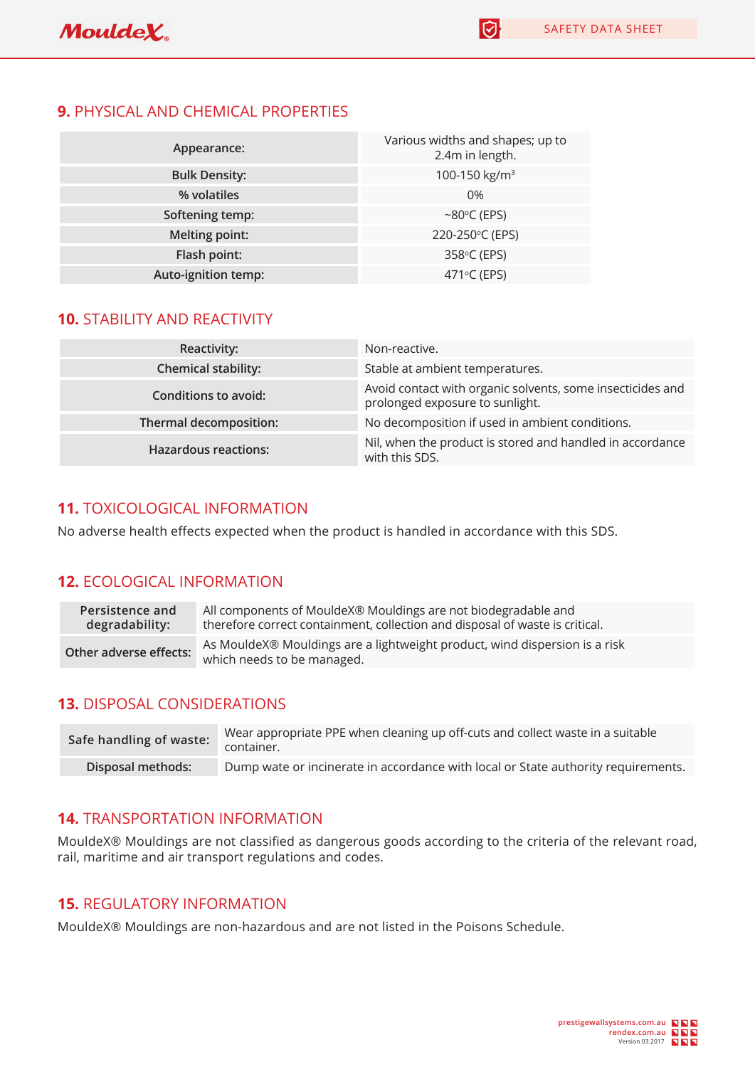$\Theta$ 

## **9.** PHYSICAL AND CHEMICAL PROPERTIES

| Appearance:          | Various widths and shapes; up to<br>2.4m in length. |
|----------------------|-----------------------------------------------------|
| <b>Bulk Density:</b> | 100-150 kg/m <sup>3</sup>                           |
| % volatiles          | 0%                                                  |
| Softening temp:      | $~\sim$ 80 $\degree$ C (EPS)                        |
| Melting point:       | 220-250°C (EPS)                                     |
| Flash point:         | 358°C (EPS)                                         |
| Auto-ignition temp:  | 471°C (EPS)                                         |

# **10.** STABILITY AND REACTIVITY

| Reactivity:                 | Non-reactive.                                                                                 |
|-----------------------------|-----------------------------------------------------------------------------------------------|
| <b>Chemical stability:</b>  | Stable at ambient temperatures.                                                               |
| <b>Conditions to avoid:</b> | Avoid contact with organic solvents, some insecticides and<br>prolonged exposure to sunlight. |
| Thermal decomposition:      | No decomposition if used in ambient conditions.                                               |
| <b>Hazardous reactions:</b> | Nil, when the product is stored and handled in accordance<br>with this SDS.                   |

# **11.** TOXICOLOGICAL INFORMATION

No adverse health effects expected when the product is handled in accordance with this SDS.

# **12.** ECOLOGICAL INFORMATION

| Persistence and        | All components of MouldeX® Mouldings are not biodegradable and                                           |
|------------------------|----------------------------------------------------------------------------------------------------------|
| degradability:         | therefore correct containment, collection and disposal of waste is critical.                             |
| Other adverse effects: | As MouldeX® Mouldings are a lightweight product, wind dispersion is a risk<br>which needs to be managed. |

# **13.** DISPOSAL CONSIDERATIONS

| Safe handling of waste: | Wear appropriate PPE when cleaning up off-cuts and collect waste in a suitable<br>container. |
|-------------------------|----------------------------------------------------------------------------------------------|
| Disposal methods:       | Dump wate or incinerate in accordance with local or State authority requirements.            |

#### **14.** TRANSPORTATION INFORMATION

MouldeX® Mouldings are not classified as dangerous goods according to the criteria of the relevant road, rail, maritime and air transport regulations and codes.

## **15.** REGULATORY INFORMATION

MouldeX® Mouldings are non-hazardous and are not listed in the Poisons Schedule.